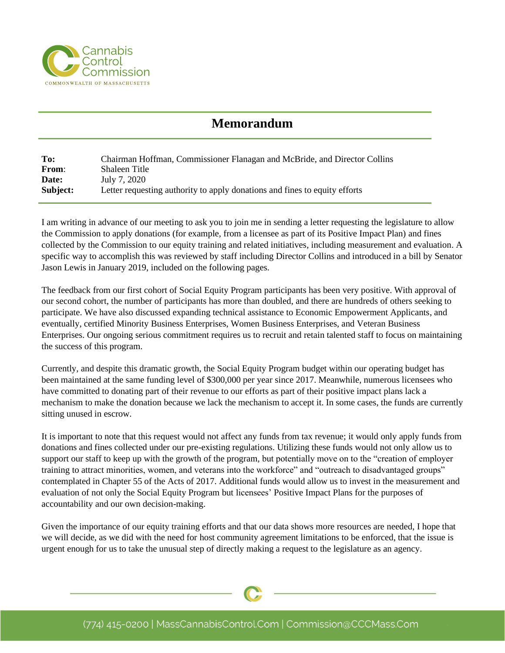

## **Memorandum**

**To:** Chairman Hoffman, Commissioner Flanagan and McBride, and Director Collins **From**: Shaleen Title **Date:** July 7, 2020 **Subject:** Letter requesting authority to apply donations and fines to equity efforts

I am writing in advance of our meeting to ask you to join me in sending a letter requesting the legislature to allow the Commission to apply donations (for example, from a licensee as part of its Positive Impact Plan) and fines collected by the Commission to our equity training and related initiatives, including measurement and evaluation. A specific way to accomplish this was reviewed by staff including Director Collins and introduced in a bill by Senator Jason Lewis in January 2019, included on the following pages.

The feedback from our first cohort of Social Equity Program participants has been very positive. With approval of our second cohort, the number of participants has more than doubled, and there are hundreds of others seeking to participate. We have also discussed expanding technical assistance to Economic Empowerment Applicants, and eventually, certified Minority Business Enterprises, Women Business Enterprises, and Veteran Business Enterprises. Our ongoing serious commitment requires us to recruit and retain talented staff to focus on maintaining the success of this program.

Currently, and despite this dramatic growth, the Social Equity Program budget within our operating budget has been maintained at the same funding level of \$300,000 per year since 2017. Meanwhile, numerous licensees who have committed to donating part of their revenue to our efforts as part of their positive impact plans lack a mechanism to make the donation because we lack the mechanism to accept it. In some cases, the funds are currently sitting unused in escrow.

It is important to note that this request would not affect any funds from tax revenue; it would only apply funds from donations and fines collected under our pre-existing regulations. Utilizing these funds would not only allow us to support our staff to keep up with the growth of the program, but potentially move on to the "creation of employer training to attract minorities, women, and veterans into the workforce" and "outreach to disadvantaged groups" contemplated in Chapter 55 of the Acts of 2017. Additional funds would allow us to invest in the measurement and evaluation of not only the Social Equity Program but licensees' Positive Impact Plans for the purposes of accountability and our own decision-making.

Given the importance of our equity training efforts and that our data shows more resources are needed, I hope that we will decide, as we did with the need for host community agreement limitations to be enforced, that the issue is urgent enough for us to take the unusual step of directly making a request to the legislature as an agency.

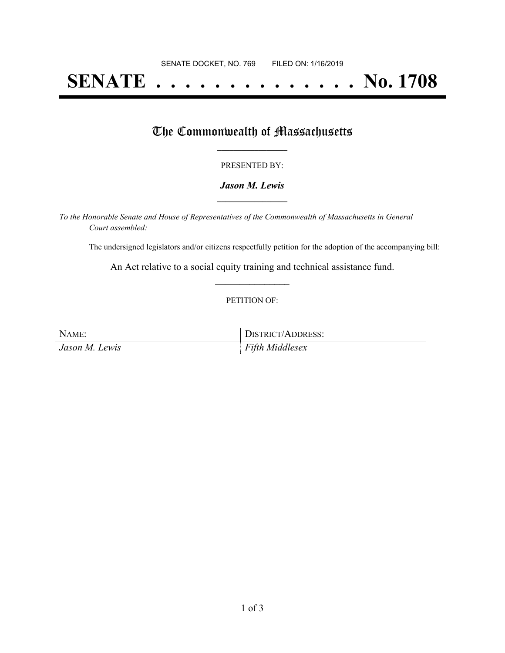# **SENATE . . . . . . . . . . . . . . No. 1708**

### The Commonwealth of Massachusetts

#### PRESENTED BY:

#### *Jason M. Lewis* **\_\_\_\_\_\_\_\_\_\_\_\_\_\_\_\_\_**

*To the Honorable Senate and House of Representatives of the Commonwealth of Massachusetts in General Court assembled:*

The undersigned legislators and/or citizens respectfully petition for the adoption of the accompanying bill:

An Act relative to a social equity training and technical assistance fund. **\_\_\_\_\_\_\_\_\_\_\_\_\_\_\_**

#### PETITION OF:

NAME: DISTRICT/ADDRESS: *Jason M. Lewis Fifth Middlesex*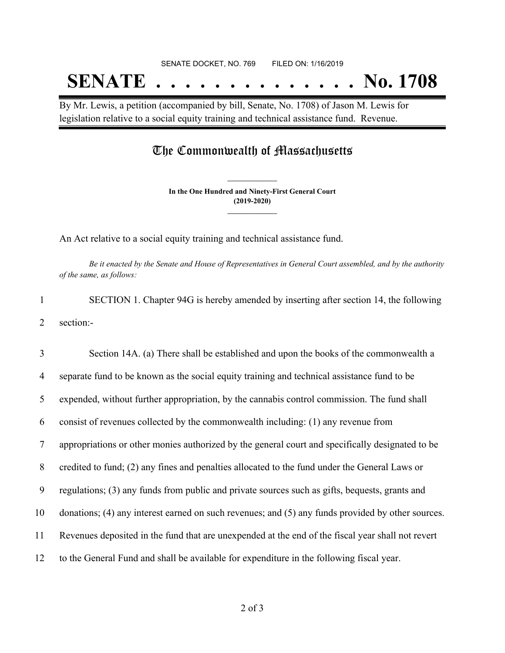By Mr. Lewis, a petition (accompanied by bill, Senate, No. 1708) of Jason M. Lewis for legislation relative to a social equity training and technical assistance fund. Revenue.

## The Commonwealth of Massachusetts

**In the One Hundred and Ninety-First General Court (2019-2020) \_\_\_\_\_\_\_\_\_\_\_\_\_\_\_**

**\_\_\_\_\_\_\_\_\_\_\_\_\_\_\_**

An Act relative to a social equity training and technical assistance fund.

Be it enacted by the Senate and House of Representatives in General Court assembled, and by the authority *of the same, as follows:*

1 SECTION 1. Chapter 94G is hereby amended by inserting after section 14, the following 2 section:-

 Section 14A. (a) There shall be established and upon the books of the commonwealth a separate fund to be known as the social equity training and technical assistance fund to be expended, without further appropriation, by the cannabis control commission. The fund shall consist of revenues collected by the commonwealth including: (1) any revenue from appropriations or other monies authorized by the general court and specifically designated to be credited to fund; (2) any fines and penalties allocated to the fund under the General Laws or regulations; (3) any funds from public and private sources such as gifts, bequests, grants and donations; (4) any interest earned on such revenues; and (5) any funds provided by other sources. Revenues deposited in the fund that are unexpended at the end of the fiscal year shall not revert to the General Fund and shall be available for expenditure in the following fiscal year.